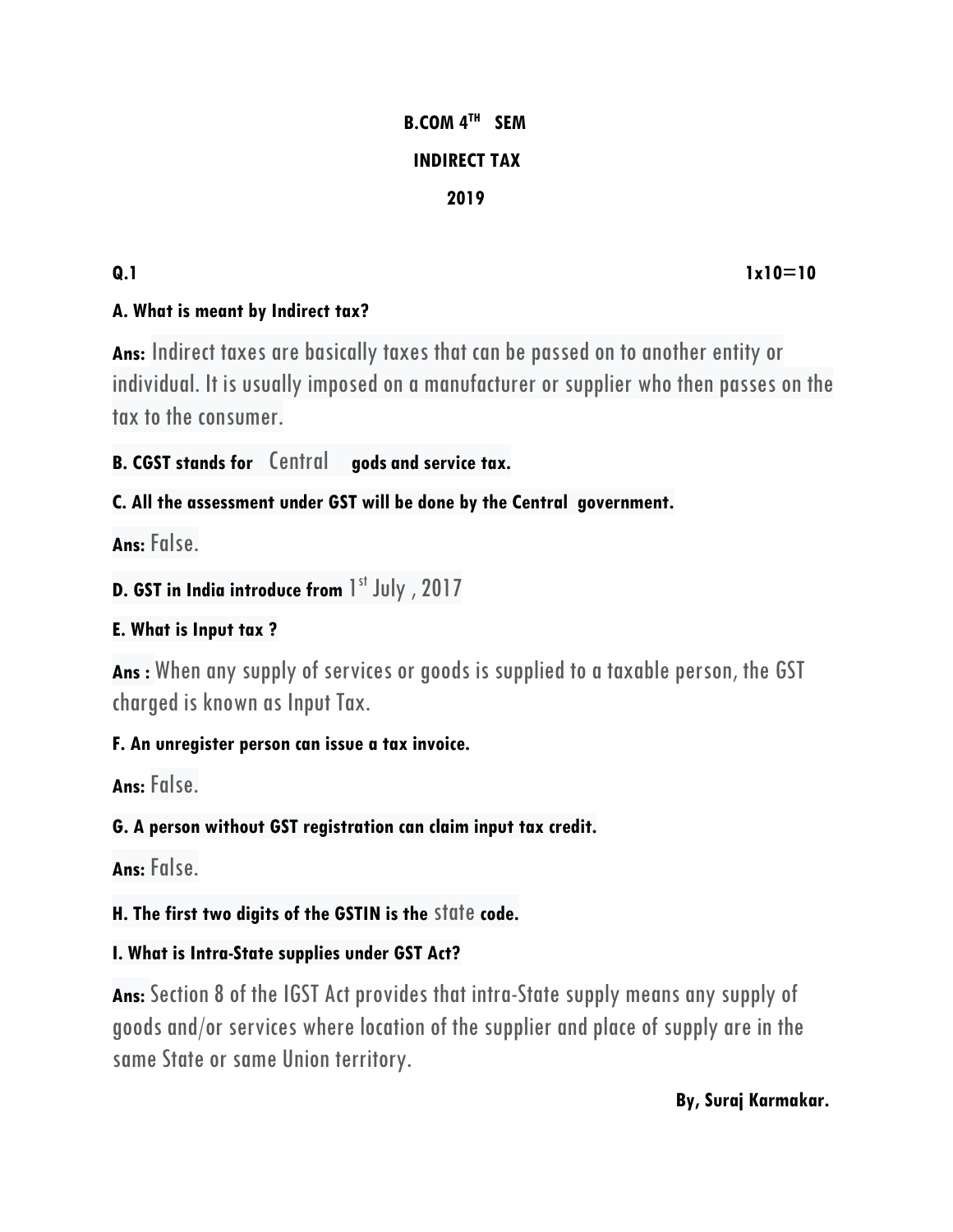# **B.COM 4TH SEM INDIRECT TAX 12019**

## **Q.1** 1x10=10

## **A. What is meant by Indirect tax?**

**Ans:** Indirect taxes are basically taxes that can be passed on to another entity or individual. It is usually imposed on a manufacturer or supplier who then passes on the tax to the consumer.

**B. CGST stands for** Central **gods and service tax.**

## **C. All the assessment under GST will be done by the Central government.**

**Ans:** False.

```
D. GST in India introduce from 1
st July , 2017
```
## **E. What is Input tax ?**

**Ans :** When any supply of services or goods is supplied to a taxable person, the GST charged is known as Input Tax.

### **F. An unregister person can issue a tax invoice.**

**Ans:** False.

# **G. A person without GST registration can claim input tax credit.**

**Ans:** False.

# **H. The first two digits of the GSTIN is the** state **code.**

# **I. What is Intra-State supplies under GST Act?**

Ans: Section 8 of the IGST Act provides that intra-State supply means any supply of goods and/or services where location of the supplier and place of supply are in the same State or same Union territory.

#### **By, Suraj Karmakar.**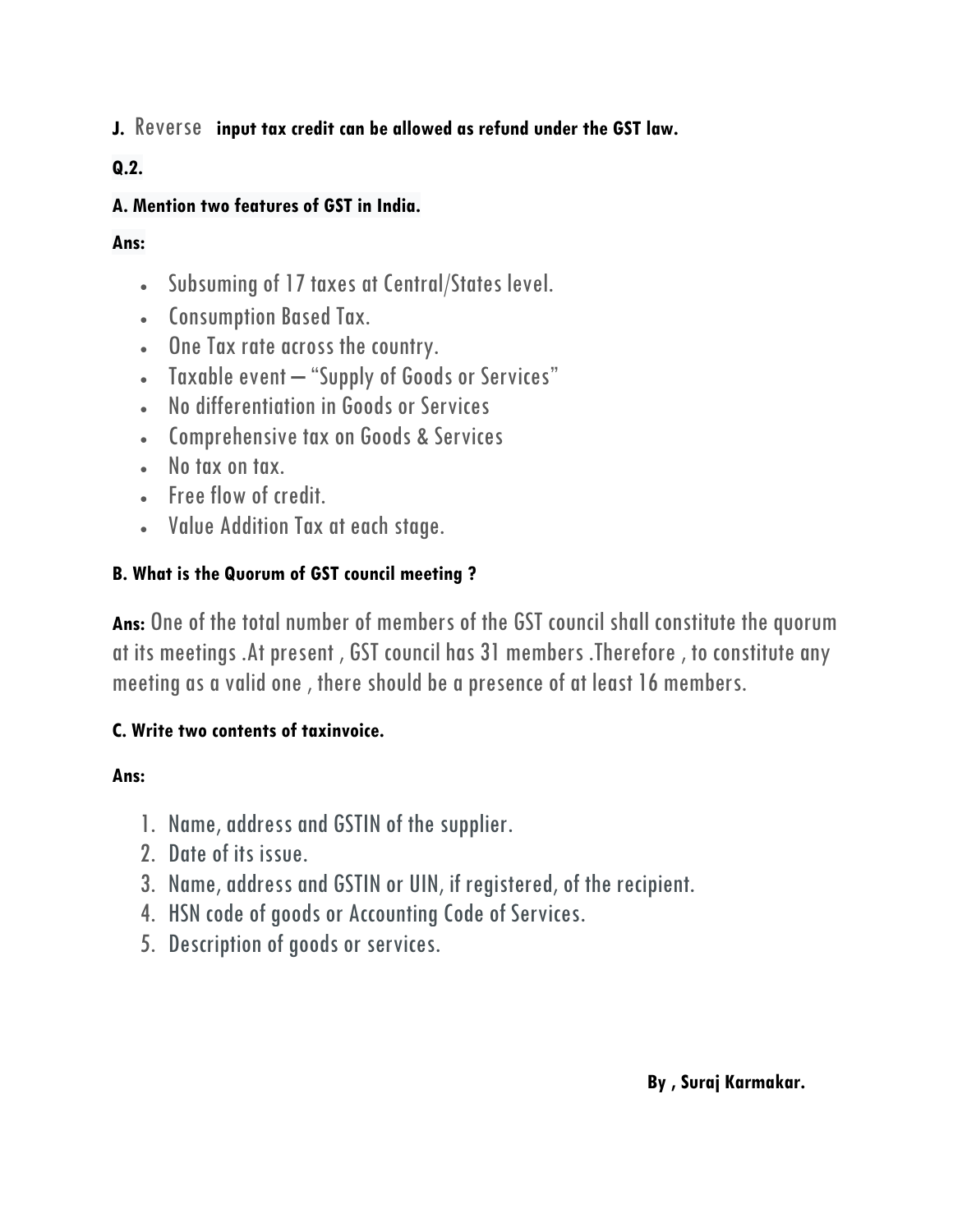**J.** Reverse **input tax credit can be allowed as refund under the GST law.**

#### **Q.2.**

#### **A. Mention two features of GST in India.**

#### **Ans:**

- Subsuming of 17 taxes at Central/States level.
- Consumption Based Tax.
- One Tax rate across the country.
- Taxable event "Supply of Goods or Services"
- No differentiation in Goods or Services
- Comprehensive tax on Goods & Services
- No tax on tax.
- Free flow of credit.
- Value Addition Tax at each stage.

#### **B. What is the Quorum of GST council meeting ?**

**Ans:** One of the total number of members of the GST council shall constitute the quorum at its meetings .At present , GST council has 31 members .Therefore , to constitute any meeting as a valid one , there should be a presence of at least 16 members.

### **C. Write two contents of taxinvoice.**

### **Ans:**

- 1. Name, address and GSTIN of the supplier.
- 2. Date of its issue.
- 3. Name, address and GSTIN or UIN, if registered, of the recipient.
- 4. HSN code of goods or Accounting Code of Services.
- 5. Description of goods or services.

#### **By , Suraj Karmakar.**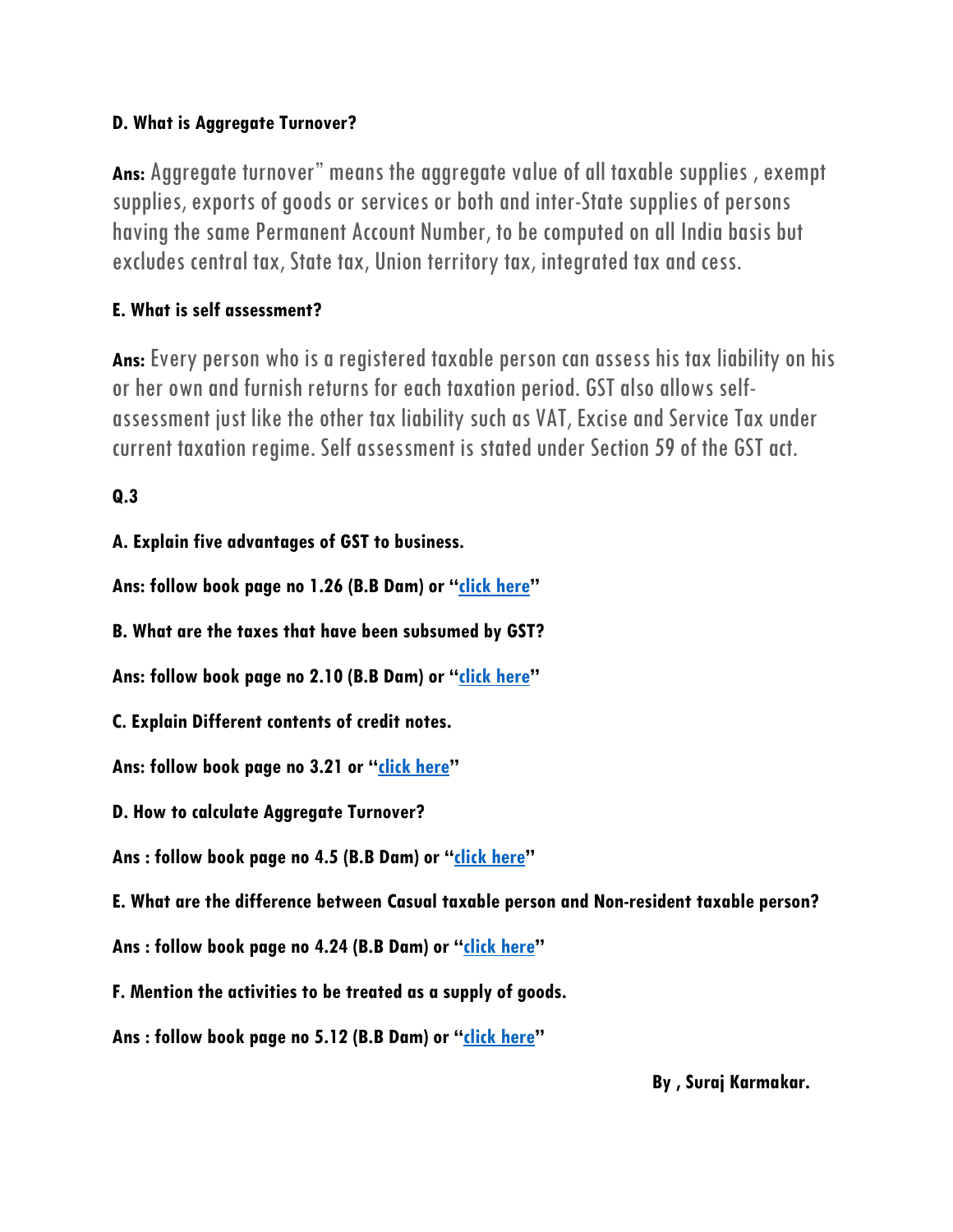#### **D. What is Aggregate Turnover?**

**Ans:** Aggregate turnover" means the aggregate value of all taxable supplies , exempt supplies, exports of goods or services or both and inter-State supplies of persons having the same Permanent Account Number, to be computed on all India basis but excludes central tax, State tax, Union territory tax, integrated tax and cess.

## **E. What is self assessment?**

**Ans:** Every person who is a registered taxable person can assess his tax liability on his or her own and furnish returns for each taxation period. GST also allows selfassessment just like the other tax liability such as VAT, Excise and Service Tax under current taxation regime. Self assessment is stated under Section 59 of the GST act.

**Q.3**

**A. Explain five advantages of GST to business.**

**Ans: follow book page no 1.26 (B.B Dam) or "[click here](https://cleartax.in/s/benefits-of-gst-advantages-disadvantages)"**

**B. What are the taxes that have been subsumed by GST?**

**Ans: follow book page no 2.10 (B.B Dam) or "[click here](https://taxmantra.com/taxes-to-be-subsumed-in-gst/)"**

**C. Explain Different contents of credit notes.**

**Ans: follow book page no 3.21 or "[click here](https://accountantnextdoor.com/what-is-credit-notes-and-debit-notes-meaning-uses-contents/)"**

**D. How to calculate Aggregate Turnover?** 

**Ans : follow book page no 4.5 (B.B Dam) or "[click here](https://www.youtube.com/watch?v=_b_s8gIQoMU)"**

**E. What are the difference between Casual taxable person and Non-resident taxable person?**

**Ans : follow book page no 4.24 (B.B Dam) or "[click here](https://www.youtube.com/watch?v=bjTaQX2hGCI)"**

**F. Mention the activities to be treated as a supply of goods.**

**Ans : follow book page no 5.12 (B.B Dam) or "[click here](https://taxworry.com/gst-model-law/schedule-ii-matters-to-be-treated-as-supply-of-goods-or-services/)"**

 **By , Suraj Karmakar.**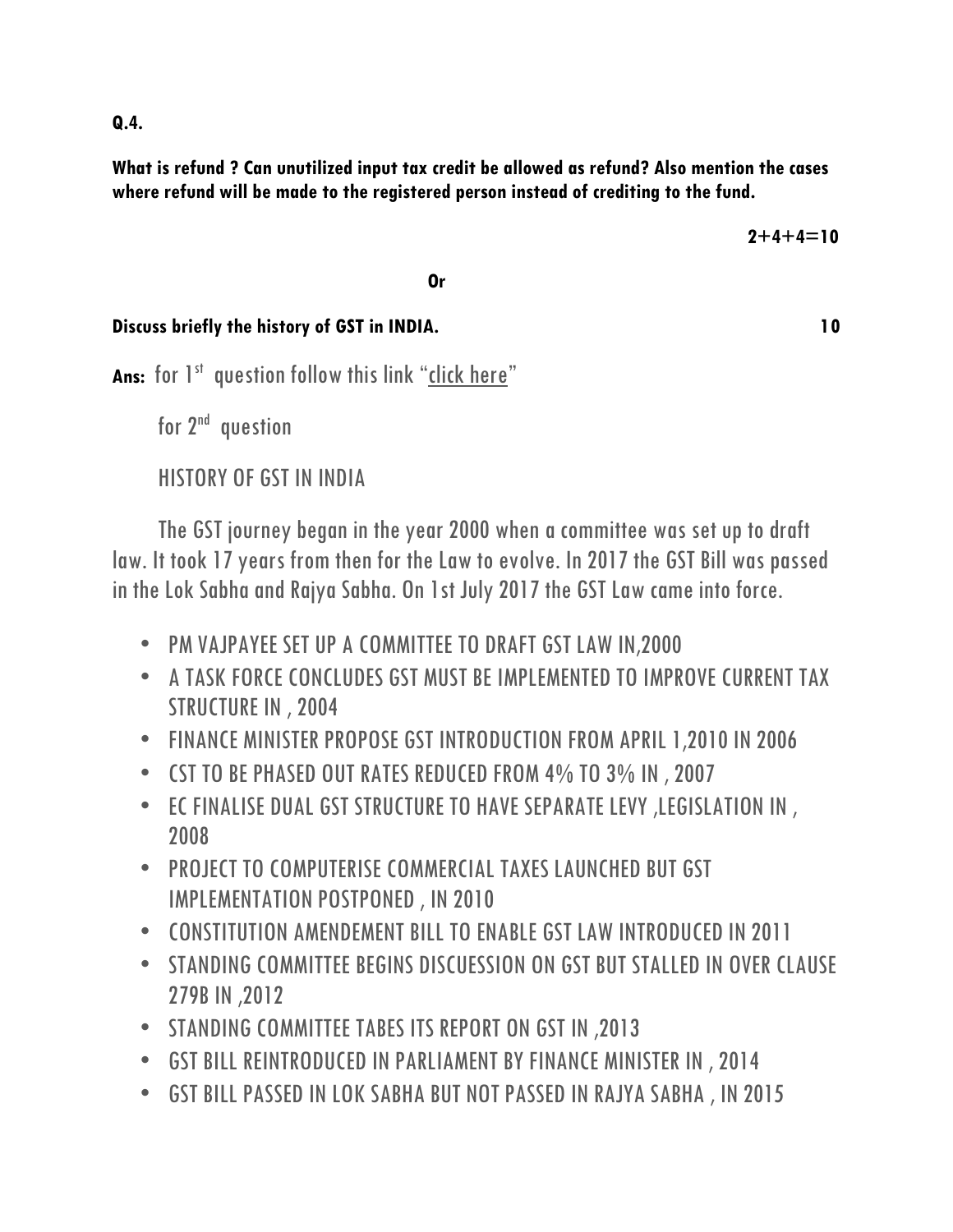**What is refund ? Can unutilized input tax credit be allowed as refund? Also mention the cases where refund will be made to the registered person instead of crediting to the fund.** 

*<u>Driverside Contract Contract Contract Contract Contract Contract Contract Contract Contract Contract Contract Contract Contract Contract Contract Contract Contract Contract Contract Contract Contract Contract Contract C*</u>

**Discuss briefly the history of GST in INDIA.** 10

Ans: for 1<sup>st</sup> question follow this link "[click here](https://quickbooks.intuit.com/in/resources/gst-center/refund-under-gst/)"

for 2<sup>nd</sup> question

HISTORY OF GST IN INDIA

 The GST journey began in the year 2000 when a committee was set up to draft law. It took 17 years from then for the Law to evolve. In 2017 the GST Bill was passed in the Lok Sabha and Rajya Sabha. On 1st July 2017 the GST Law came into force.

- PM VAJPAYEE SET UP A COMMITTEE TO DRAFT GST LAW IN,2000
- A TASK FORCE CONCLUDES GST MUST BE IMPLEMENTED TO IMPROVE CURRENT TAX STRUCTURE IN , 2004
- FINANCE MINISTER PROPOSE GST INTRODUCTION FROM APRIL 1,2010 IN 2006
- CST TO BE PHASED OUT RATES REDUCED FROM 4% TO 3% IN , 2007
- EC FINALISE DUAL GST STRUCTURE TO HAVE SEPARATE LEVY ,LEGISLATION IN , 2008
- PROJECT TO COMPUTERISE COMMERCIAL TAXES LAUNCHED BUT GST IMPLEMENTATION POSTPONED , IN 2010
- CONSTITUTION AMENDEMENT BILL TO ENABLE GST LAW INTRODUCED IN 2011
- STANDING COMMITTEE BEGINS DISCUESSION ON GST BUT STALLED IN OVER CLAUSE 279B IN ,2012
- STANDING COMMITTEE TABES ITS REPORT ON GST IN ,2013
- GST BILL REINTRODUCED IN PARLIAMENT BY FINANCE MINISTER IN , 2014
- GST BILL PASSED IN LOK SABHA BUT NOT PASSED IN RAJYA SABHA , IN 2015

**Q.4.**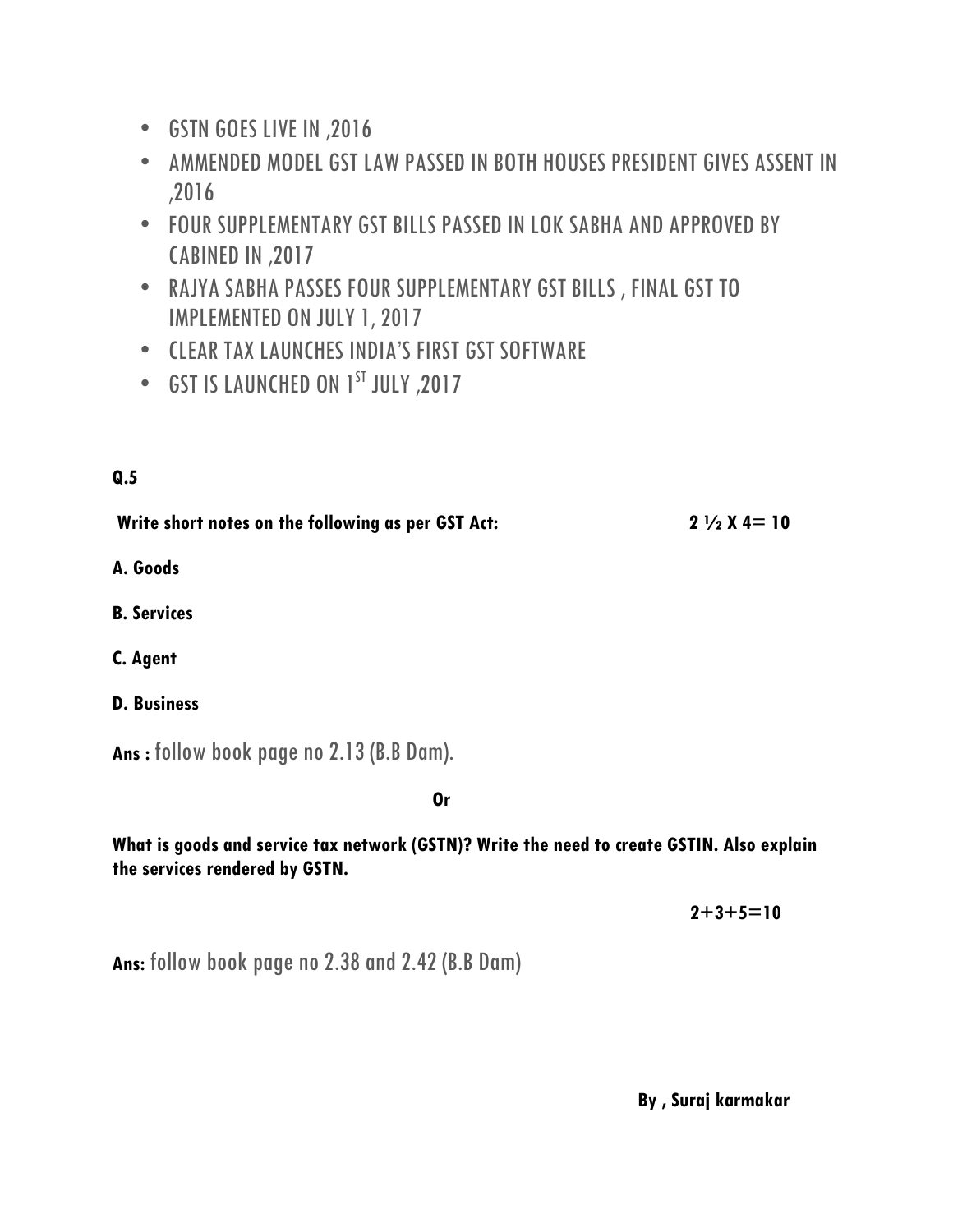- GSTN GOES LIVE IN ,2016
- AMMENDED MODEL GST LAW PASSED IN BOTH HOUSES PRESIDENT GIVES ASSENT IN ,2016
- FOUR SUPPLEMENTARY GST BILLS PASSED IN LOK SABHA AND APPROVED BY CABINED IN ,2017
- RAJYA SABHA PASSES FOUR SUPPLEMENTARY GST BILLS , FINAL GST TO IMPLEMENTED ON JULY 1, 2017
- CLEAR TAX LAUNCHES INDIA'S FIRST GST SOFTWARE
- GST IS LAUNCHED ON 1<sup>ST</sup> JULY, 2017

### **Q.5**

Write short notes on the following as per GST Act: 2 1/2 X 4= 10

**A. Goods** 

**B. Services** 

**C. Agent**

**D. Business**

**Ans :** follow book page no 2.13 (B.B Dam).

*<u>Driverside Contract Contract Contract Contract Contract Contract Contract Contract Contract Contract Contract Contract Contract Contract Contract Contract Contract Contract Contract Contract Contract Contract Contract C*</u>

**What is goods and service tax network (GSTN)? Write the need to create GSTIN. Also explain the services rendered by GSTN.** 

 **2+3+5=10**

**Ans:** follow book page no 2.38 and 2.42 (B.B Dam)

 **By , Suraj karmakar**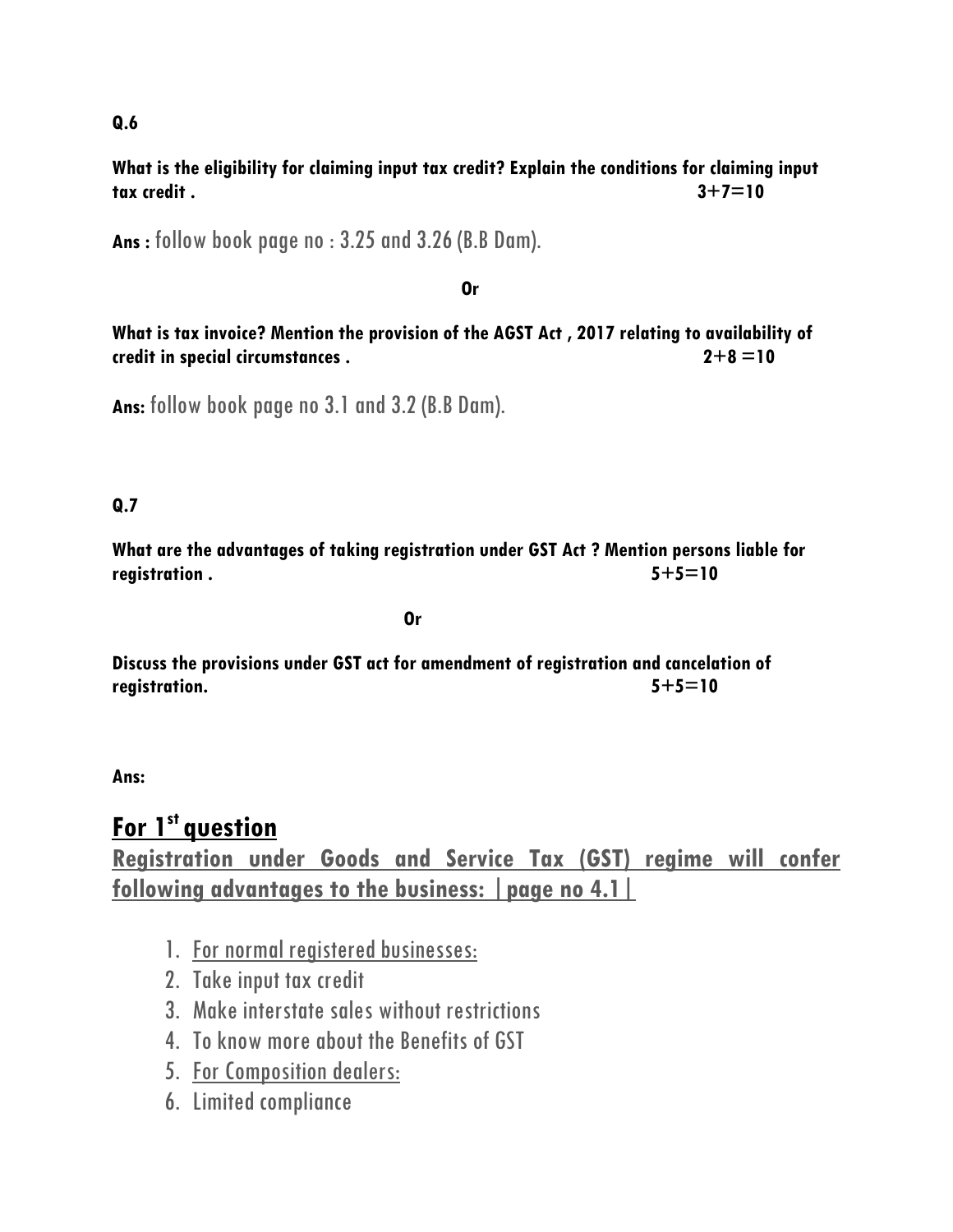**Q.6**

**What is the eligibility for claiming input tax credit? Explain the conditions for claiming input tax credit . 3+7=10**

**Ans :** follow book page no : 3.25 and 3.26 (B.B Dam).

#### *<u>Drawing</u>*  $\overline{\mathbf{O}}$  *Company*  $\overline{\mathbf{O}}$  *Company*  $\overline{\mathbf{O}}$  *Company*  $\overline{\mathbf{O}}$  *Company*  $\overline{\mathbf{O}}$  *Company*  $\overline{\mathbf{O}}$  *Company*  $\overline{\mathbf{O}}$  *Company*  $\overline{\mathbf{O}}$  *Company*  $\overline{\mathbf{O}}$  *Co*

**What is tax invoice? Mention the provision of the AGST Act , 2017 relating to availability of credit in special circumstances . 2+8 =10**

**Ans:** follow book page no 3.1 and 3.2 (B.B Dam).

#### **Q.7**

**What are the advantages of taking registration under GST Act ? Mention persons liable for registration . 5+5=10**

*<u>Driverside</u>* 

**Discuss the provisions under GST act for amendment of registration and cancelation of registration. 5+5=10**

**Ans:** 

# **For 1st question**

**Registration under Goods and Service Tax (GST) regime will confer following advantages to the business: |page no 4.1|**

- 1. For normal registered businesses:
- 2. Take input tax credit
- 3. Make interstate sales without restrictions
- 4. To know more about the Benefits of GST
- 5. For Composition dealers:
- 6. Limited compliance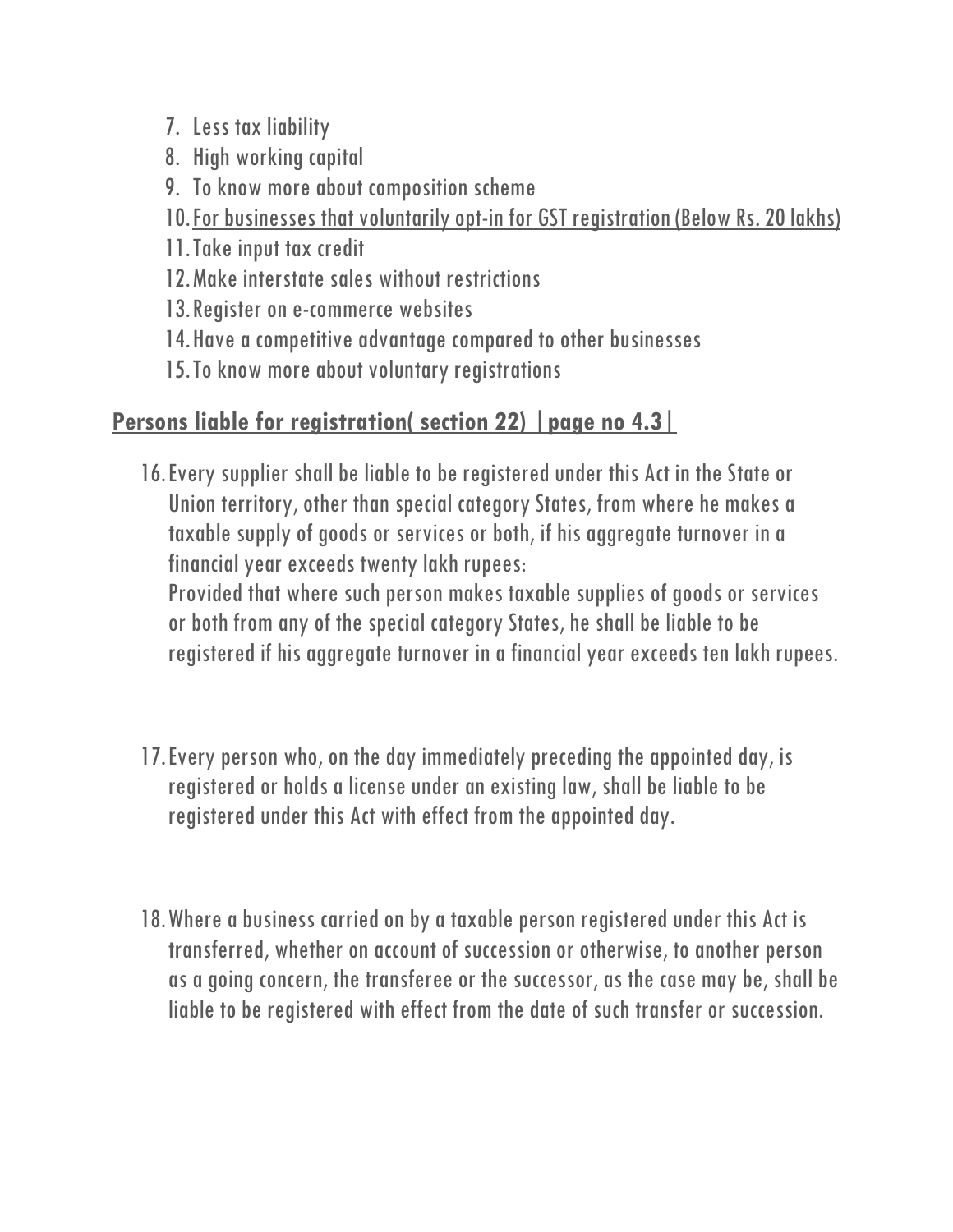- 7. Less tax liability
- 8. High working capital
- 9. To know more about composition scheme
- 10.For businesses that voluntarily opt-in for GST registration (Below Rs. 20 lakhs)
- 11.Take input tax credit
- 12.Make interstate sales without restrictions
- 13.Register on e-commerce websites
- 14.Have a competitive advantage compared to other businesses
- 15.To know more about voluntary registrations

# **Persons liable for registration( section 22) |page no 4.3|**

16.Every supplier shall be liable to be registered under this Act in the State or Union territory, other than special category States, from where he makes a taxable supply of goods or services or both, if his aggregate turnover in a financial year exceeds twenty lakh rupees:

Provided that where such person makes taxable supplies of goods or services or both from any of the special category States, he shall be liable to be registered if his aggregate turnover in a financial year exceeds ten lakh rupees.

- 17.Every person who, on the day immediately preceding the appointed day, is registered or holds a license under an existing law, shall be liable to be registered under this Act with effect from the appointed day.
- 18.Where a business carried on by a taxable person registered under this Act is transferred, whether on account of succession or otherwise, to another person as a going concern, the transferee or the successor, as the case may be, shall be liable to be registered with effect from the date of such transfer or succession.